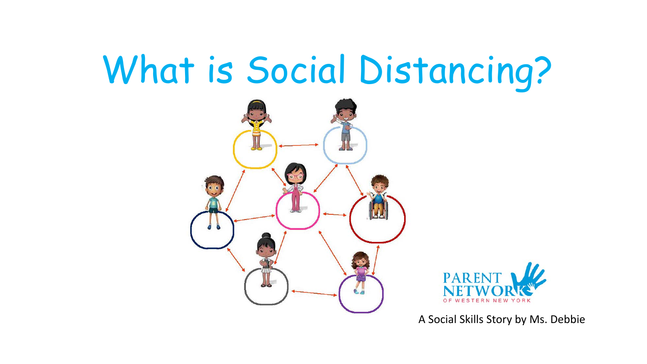## What is Social Distancing?





A Social Skills Story by Ms. Debbie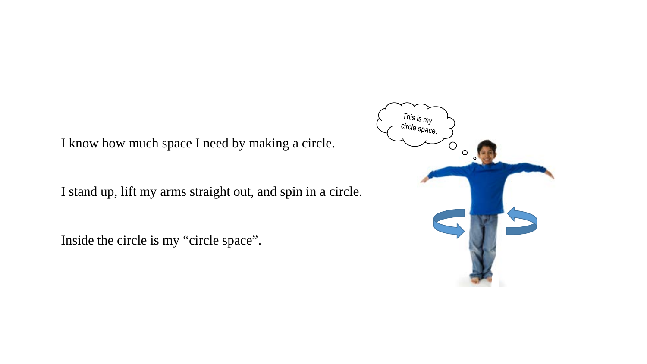I know how much space I need by making a circle.

I stand up, lift my arms straight out, and spin in a circle.

Inside the circle is my "circle space".

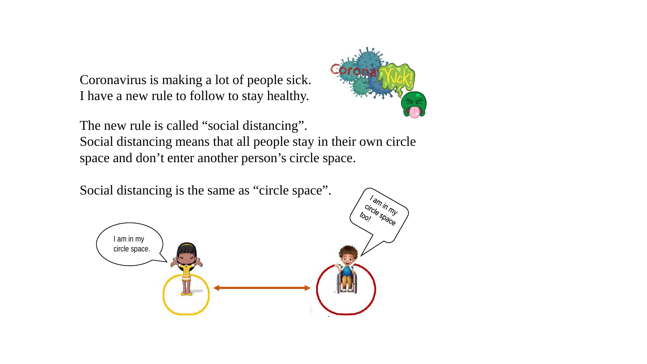Coronavirus is making a lot of people sick. I have a new rule to follow to stay healthy.



The new rule is called "social distancing". Social distancing means that all people stay in their own circle

space and don't enter another person's circle space.

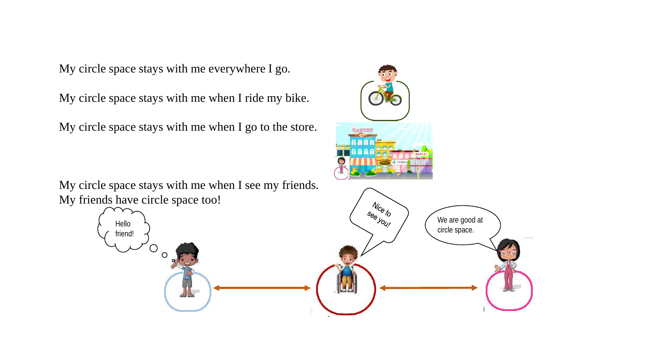My circle space stays with me everywhere I go.

My circle space stays with me when I ride my bike.

My circle space stays with me when I go to the store.

My circle space stays with me when I see my friends. My friends have circle space too!

> Hello friend!

> > O  $\Omega$

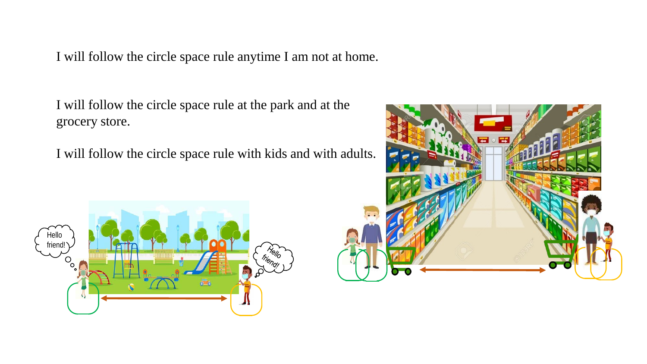I will follow the circle space rule anytime I am not at home.

I will follow the circle space rule at the park and at the grocery store.

I will follow the circle space rule with kids and with adults.



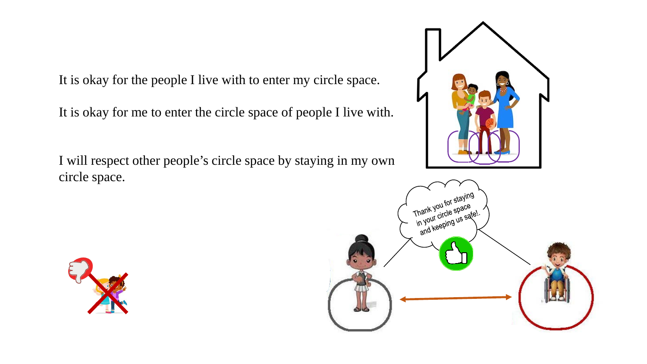It is okay for the people I live with to enter my circle space.

It is okay for me to enter the circle space of people I live with.

I will respect other people's circle space by staying in my own circle space.